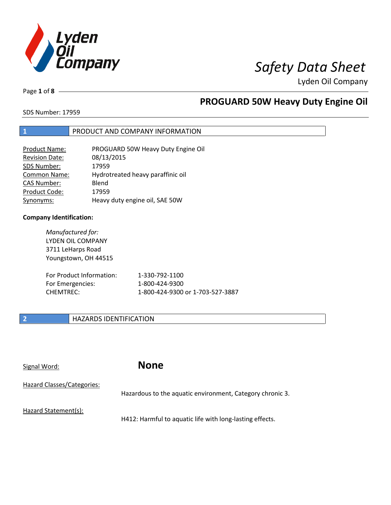

Page **1** of **8**

# **PROGUARD 50W Heavy Duty Engine Oil**

SDS Number: 17959

### **1** PRODUCT AND COMPANY INFORMATION

| <b>Product Name:</b>  | PROGUARD 50W Heavy Duty Engine Oil |
|-----------------------|------------------------------------|
| <b>Revision Date:</b> | 08/13/2015                         |
| SDS Number:           | 17959                              |
| Common Name:          | Hydrotreated heavy paraffinic oil  |
| <b>CAS Number:</b>    | Blend                              |
| Product Code:         | 17959                              |
| Synonyms:             | Heavy duty engine oil, SAE 50W     |

### **Company Identification:**

| Manufactured for:<br>LYDEN OIL COMPANY<br>3711 LeHarps Road<br>Youngstown, OH 44515 |                                  |
|-------------------------------------------------------------------------------------|----------------------------------|
| For Product Information:                                                            | 1-330-792-1100                   |
| For Emergencies:                                                                    | 1-800-424-9300                   |
| CHFMTRFC:                                                                           | 1-800-424-9300 or 1-703-527-3887 |

### **2 HAZARDS IDENTIFICATION**

Signal Word: **None**

| Hazard Classes/Categories: |                                                           |
|----------------------------|-----------------------------------------------------------|
|                            | Hazardous to the aquatic environment, Category chronic 3. |
| Hazard Statement(s):       |                                                           |
|                            | H412: Harmful to aquatic life with long-lasting effects.  |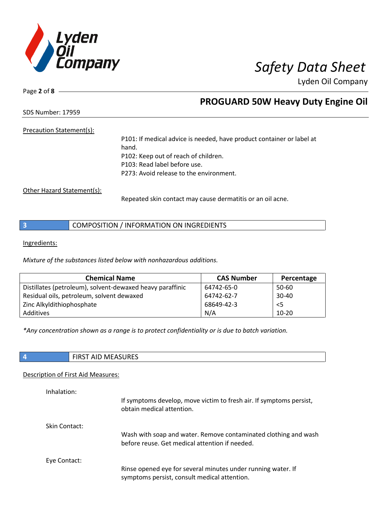

Page **2** of **8**

## **PROGUARD 50W Heavy Duty Engine Oil**

SDS Number: 17959

### Precaution Statement(s):

P101: If medical advice is needed, have product container or label at hand. P102: Keep out of reach of children. P103: Read label before use. P273: Avoid release to the environment.

Other Hazard Statement(s):

Repeated skin contact may cause dermatitis or an oil acne.

|  | COMPOSITION / INFORMATION ON INGREDIENTS |
|--|------------------------------------------|
|--|------------------------------------------|

Ingredients:

*Mixture of the substances listed below with nonhazardous additions.*

| <b>Chemical Name</b>                                      | <b>CAS Number</b> | Percentage |
|-----------------------------------------------------------|-------------------|------------|
| Distillates (petroleum), solvent-dewaxed heavy paraffinic | 64742-65-0        | 50-60      |
| Residual oils, petroleum, solvent dewaxed                 | 64742-62-7        | $30 - 40$  |
| Zinc Alkyldithiophosphate                                 | 68649-42-3        | $<$ 5      |
| Additives                                                 | N/A               | $10 - 20$  |

*\*Any concentration shown as a range is to protect confidentiality or is due to batch variation.*

| <b>MEASURES</b><br>- I F<br>. .<br>. |
|--------------------------------------|
|                                      |

### Description of First Aid Measures:

| Inhalation:          | If symptoms develop, move victim to fresh air. If symptoms persist,<br>obtain medical attention.                  |
|----------------------|-------------------------------------------------------------------------------------------------------------------|
| <b>Skin Contact:</b> | Wash with soap and water. Remove contaminated clothing and wash<br>before reuse. Get medical attention if needed. |
| Eye Contact:         | Rinse opened eye for several minutes under running water. If<br>symptoms persist, consult medical attention.      |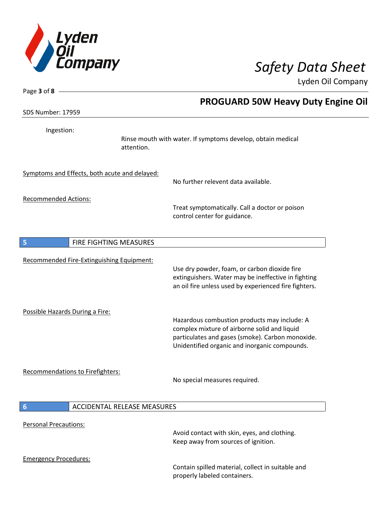

 $\overline{\phantom{a}}$ 

Lyden Oil Company

| Page 3 of 8 -                   |                                               |                                                                                                                                                                                                   |
|---------------------------------|-----------------------------------------------|---------------------------------------------------------------------------------------------------------------------------------------------------------------------------------------------------|
| <b>SDS Number: 17959</b>        |                                               | <b>PROGUARD 50W Heavy Duty Engine Oil</b>                                                                                                                                                         |
|                                 |                                               |                                                                                                                                                                                                   |
| Ingestion:                      | attention.                                    | Rinse mouth with water. If symptoms develop, obtain medical                                                                                                                                       |
|                                 | Symptoms and Effects, both acute and delayed: | No further relevent data available.                                                                                                                                                               |
|                                 |                                               |                                                                                                                                                                                                   |
| <b>Recommended Actions:</b>     |                                               | Treat symptomatically. Call a doctor or poison<br>control center for guidance.                                                                                                                    |
| 5                               | FIRE FIGHTING MEASURES                        |                                                                                                                                                                                                   |
|                                 | Recommended Fire-Extinguishing Equipment:     | Use dry powder, foam, or carbon dioxide fire<br>extinguishers. Water may be ineffective in fighting<br>an oil fire unless used by experienced fire fighters.                                      |
| Possible Hazards During a Fire: |                                               | Hazardous combustion products may include: A<br>complex mixture of airborne solid and liquid<br>particulates and gases (smoke). Carbon monoxide.<br>Unidentified organic and inorganic compounds. |
|                                 | <b>Recommendations to Firefighters:</b>       | No special measures required.                                                                                                                                                                     |
| 6                               | <b>ACCIDENTAL RELEASE MEASURES</b>            |                                                                                                                                                                                                   |
| <b>Personal Precautions:</b>    |                                               | Avoid contact with skin, eyes, and clothing.<br>Keep away from sources of ignition.                                                                                                               |
| <b>Emergency Procedures:</b>    |                                               | Contain spilled material, collect in suitable and<br>properly labeled containers.                                                                                                                 |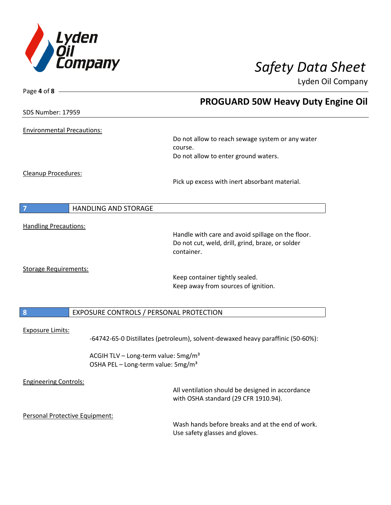

| Page 4 of 8 -                     |                                                                                 |
|-----------------------------------|---------------------------------------------------------------------------------|
|                                   | <b>PROGUARD 50W Heavy Duty Engine Oil</b>                                       |
| <b>SDS Number: 17959</b>          |                                                                                 |
| <b>Environmental Precautions:</b> |                                                                                 |
|                                   | Do not allow to reach sewage system or any water                                |
|                                   | course.                                                                         |
|                                   | Do not allow to enter ground waters.                                            |
| <b>Cleanup Procedures:</b>        |                                                                                 |
|                                   | Pick up excess with inert absorbant material.                                   |
|                                   |                                                                                 |
| <b>HANDLING AND STORAGE</b><br>7  |                                                                                 |
| <b>Handling Precautions:</b>      |                                                                                 |
|                                   | Handle with care and avoid spillage on the floor.                               |
|                                   | Do not cut, weld, drill, grind, braze, or solder                                |
|                                   | container.                                                                      |
| <b>Storage Requirements:</b>      |                                                                                 |
|                                   | Keep container tightly sealed.                                                  |
|                                   | Keep away from sources of ignition.                                             |
|                                   |                                                                                 |
| $\boldsymbol{8}$                  | EXPOSURE CONTROLS / PERSONAL PROTECTION                                         |
| <b>Exposure Limits:</b>           |                                                                                 |
|                                   | -64742-65-0 Distillates (petroleum), solvent-dewaxed heavy paraffinic (50-60%): |
|                                   | ACGIH TLV - Long-term value: 5mg/m <sup>3</sup>                                 |
|                                   | OSHA PEL - Long-term value: 5mg/m <sup>3</sup>                                  |
| <b>Engineering Controls:</b>      |                                                                                 |
|                                   | All ventilation should be designed in accordance                                |
|                                   | with OSHA standard (29 CFR 1910.94).                                            |
| Personal Protective Equipment:    |                                                                                 |
|                                   | Wash hands before breaks and at the end of work.                                |
|                                   | Use safety glasses and gloves.                                                  |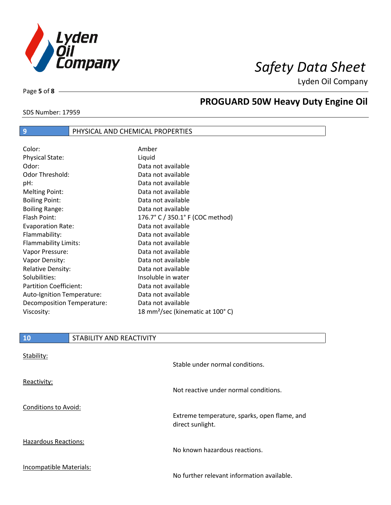

SDS Number: 17959

Page **5** of **8**

# **PROGUARD 50W Heavy Duty Engine Oil**

### **9** PHYSICAL AND CHEMICAL PROPERTIES

| Color:                        | Amber                                        |
|-------------------------------|----------------------------------------------|
| <b>Physical State:</b>        | Liquid                                       |
| Odor:                         | Data not available                           |
| Odor Threshold:               | Data not available                           |
| pH:                           | Data not available                           |
| <b>Melting Point:</b>         | Data not available                           |
| <b>Boiling Point:</b>         | Data not available                           |
| <b>Boiling Range:</b>         | Data not available                           |
| Flash Point:                  | 176.7° C / 350.1° F (COC method)             |
| <b>Evaporation Rate:</b>      | Data not available                           |
| Flammability:                 | Data not available                           |
| Flammability Limits:          | Data not available                           |
| Vapor Pressure:               | Data not available                           |
| Vapor Density:                | Data not available                           |
| <b>Relative Density:</b>      | Data not available                           |
| Solubilities:                 | Insoluble in water                           |
| <b>Partition Coefficient:</b> | Data not available                           |
| Auto-Ignition Temperature:    | Data not available                           |
| Decomposition Temperature:    | Data not available                           |
| Viscosity:                    | 18 mm <sup>2</sup> /sec (kinematic at 100°C) |

| 10                          | STABILITY AND REACTIVITY |                                                                  |
|-----------------------------|--------------------------|------------------------------------------------------------------|
| Stability:                  |                          | Stable under normal conditions.                                  |
| Reactivity:                 |                          | Not reactive under normal conditions.                            |
| Conditions to Avoid:        |                          | Extreme temperature, sparks, open flame, and<br>direct sunlight. |
| <b>Hazardous Reactions:</b> |                          | No known hazardous reactions.                                    |
| Incompatible Materials:     |                          | No further relevant information available.                       |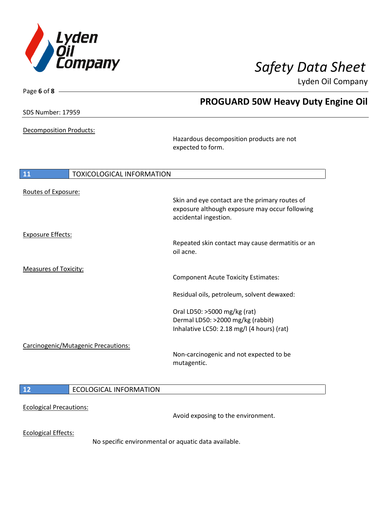

| Page 6 of 8 $-$                |                                     |                                                  |
|--------------------------------|-------------------------------------|--------------------------------------------------|
|                                |                                     | <b>PROGUARD 50W Heavy Duty Engine Oil</b>        |
| <b>SDS Number: 17959</b>       |                                     |                                                  |
|                                |                                     |                                                  |
| <b>Decomposition Products:</b> |                                     |                                                  |
|                                |                                     | Hazardous decomposition products are not         |
|                                |                                     | expected to form.                                |
|                                |                                     |                                                  |
| 11                             | <b>TOXICOLOGICAL INFORMATION</b>    |                                                  |
| Routes of Exposure:            |                                     |                                                  |
|                                |                                     | Skin and eye contact are the primary routes of   |
|                                |                                     | exposure although exposure may occur following   |
|                                |                                     | accidental ingestion.                            |
| <b>Exposure Effects:</b>       |                                     |                                                  |
|                                |                                     | Repeated skin contact may cause dermatitis or an |
|                                |                                     | oil acne.                                        |
| <b>Measures of Toxicity:</b>   |                                     |                                                  |
|                                |                                     | <b>Component Acute Toxicity Estimates:</b>       |
|                                |                                     | Residual oils, petroleum, solvent dewaxed:       |
|                                |                                     | Oral LD50: >5000 mg/kg (rat)                     |
|                                |                                     | Dermal LD50: >2000 mg/kg (rabbit)                |
|                                |                                     | Inhalative LC50: 2.18 mg/l (4 hours) (rat)       |
|                                | Carcinogenic/Mutagenic Precautions: |                                                  |
|                                |                                     | Non-carcinogenic and not expected to be          |
|                                |                                     | mutagentic.                                      |
|                                |                                     |                                                  |
| 12                             | <b>ECOLOGICAL INFORMATION</b>       |                                                  |
|                                |                                     |                                                  |
| <b>Ecological Precautions:</b> |                                     |                                                  |

Avoid exposing to the environment.

Ecological Effects:

No specific environmental or aquatic data available.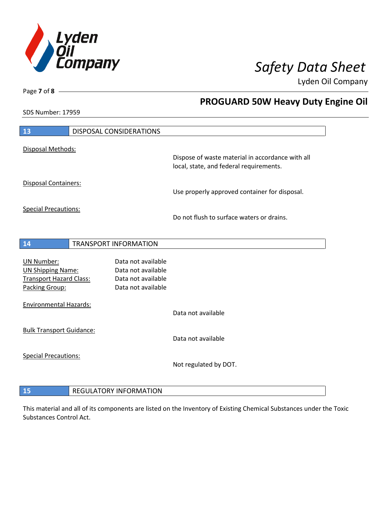

**PROGUARD 50W Heavy Duty Engine Oil**

Lyden Oil Company

SDS Number: 17959

Page **7** of **8**

| 13                                                                                  | DISPOSAL CONSIDERATIONS                                                              |                                                  |
|-------------------------------------------------------------------------------------|--------------------------------------------------------------------------------------|--------------------------------------------------|
| Disposal Methods:                                                                   |                                                                                      | Dispose of waste material in accordance with all |
|                                                                                     |                                                                                      | local, state, and federal requirements.          |
| <b>Disposal Containers:</b>                                                         |                                                                                      | Use properly approved container for disposal.    |
| <b>Special Precautions:</b>                                                         |                                                                                      | Do not flush to surface waters or drains.        |
|                                                                                     |                                                                                      |                                                  |
| 14                                                                                  | <b>TRANSPORT INFORMATION</b>                                                         |                                                  |
| UN Number:<br><b>UN Shipping Name:</b><br>Transport Hazard Class:<br>Packing Group: | Data not available<br>Data not available<br>Data not available<br>Data not available |                                                  |
| <b>Environmental Hazards:</b>                                                       |                                                                                      | Data not available                               |
| <b>Bulk Transport Guidance:</b>                                                     |                                                                                      | Data not available                               |
| <b>Special Precautions:</b>                                                         |                                                                                      | Not regulated by DOT.                            |
|                                                                                     |                                                                                      |                                                  |
| 15                                                                                  | <b>REGULATORY INFORMATION</b>                                                        |                                                  |

This material and all of its components are listed on the Inventory of Existing Chemical Substances under the Toxic Substances Control Act.